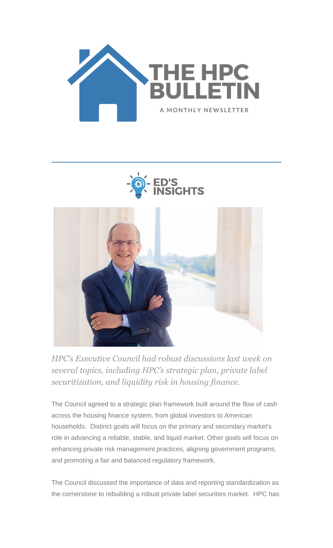





*HPC's Executive Council had robust discussions last week on several topics, including HPC's strategic plan, private label securitization, and liquidity risk in housing finance.*

The Council agreed to a strategic plan framework built around the flow of cash across the housing finance system, from global investors to American households. Distinct goals will focus on the primary and secondary market's role in advancing a reliable, stable, and liquid market. Other goals will focus on enhancing private risk management practices, aligning government programs, and promoting a fair and balanced regulatory framework.

The Council discussed the importance of data and reporting standardization as the cornerstone to rebuilding a robust private label securities market. HPC has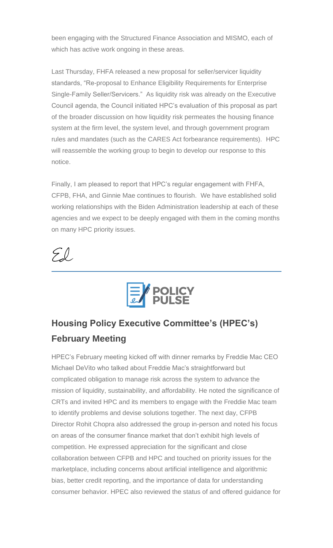been engaging with the Structured Finance Association and MISMO, each of which has active work ongoing in these areas.

Last Thursday, FHFA released a new proposal for seller/servicer liquidity standards, "Re-proposal to Enhance Eligibility Requirements for Enterprise Single-Family Seller/Servicers." As liquidity risk was already on the Executive Council agenda, the Council initiated HPC's evaluation of this proposal as part of the broader discussion on how liquidity risk permeates the housing finance system at the firm level, the system level, and through government program rules and mandates (such as the CARES Act forbearance requirements). HPC will reassemble the working group to begin to develop our response to this notice.

Finally, I am pleased to report that HPC's regular engagement with FHFA, CFPB, FHA, and Ginnie Mae continues to flourish. We have established solid working relationships with the Biden Administration leadership at each of these agencies and we expect to be deeply engaged with them in the coming months on many HPC priority issues.





# **Housing Policy Executive Committee's (HPEC's) February Meeting**

HPEC's February meeting kicked off with dinner remarks by Freddie Mac CEO Michael DeVito who talked about Freddie Mac's straightforward but complicated obligation to manage risk across the system to advance the mission of liquidity, sustainability, and affordability. He noted the significance of CRTs and invited HPC and its members to engage with the Freddie Mac team to identify problems and devise solutions together. The next day, CFPB Director Rohit Chopra also addressed the group in-person and noted his focus on areas of the consumer finance market that don't exhibit high levels of competition. He expressed appreciation for the significant and close collaboration between CFPB and HPC and touched on priority issues for the marketplace, including concerns about artificial intelligence and algorithmic bias, better credit reporting, and the importance of data for understanding consumer behavior. HPEC also reviewed the status of and offered guidance for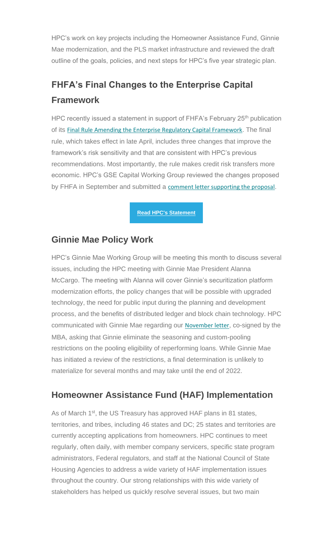HPC's work on key projects including the Homeowner Assistance Fund, Ginnie Mae modernization, and the PLS market infrastructure and reviewed the draft outline of the goals, policies, and next steps for HPC's five year strategic plan.

## **FHFA's Final Changes to the Enterprise Capital Framework**

HPC recently issued a statement in support of FHFA's February 25<sup>th</sup> publication of its [Final Rule Amending the Enterprise Regulatory Capital Framework](https://nam12.safelinks.protection.outlook.com/?url=https%3A%2F%2Fhousingpolicycouncil.us4.list-manage.com%2Ftrack%2Fclick%3Fu%3D5140623077e4523696cc45400%26id%3D2a3794f541%26e%3Dc1f6e13f3b&data=04%7C01%7CChris.Monaco%40housingpolicycouncil.org%7Cd3c00f5e92d643208e1408d9fc48504b%7Ca05a64bbd6ba4776b9825a9e6644ad76%7C1%7C0%7C637818210564001458%7CUnknown%7CTWFpbGZsb3d8eyJWIjoiMC4wLjAwMDAiLCJQIjoiV2luMzIiLCJBTiI6Ik1haWwiLCJXVCI6Mn0%3D%7C3000&sdata=xnPJa9VOfdMpMU1pum%2B6xWNyAEyd9uGklbAUO9AcRMQ%3D&reserved=0). The final rule, which takes effect in late April, includes three changes that improve the framework's risk sensitivity and that are consistent with HPC's previous recommendations. Most importantly, the rule makes credit risk transfers more economic. HPC's GSE Capital Working Group reviewed the changes proposed by FHFA in September and submitted a [comment letter supporting the proposal](https://nam12.safelinks.protection.outlook.com/?url=https%3A%2F%2Fhousingpolicycouncil.us4.list-manage.com%2Ftrack%2Fclick%3Fu%3D5140623077e4523696cc45400%26id%3D61f026bcb2%26e%3Dc1f6e13f3b&data=04%7C01%7CChris.Monaco%40housingpolicycouncil.org%7Cd3c00f5e92d643208e1408d9fc48504b%7Ca05a64bbd6ba4776b9825a9e6644ad76%7C1%7C0%7C637818210564001458%7CUnknown%7CTWFpbGZsb3d8eyJWIjoiMC4wLjAwMDAiLCJQIjoiV2luMzIiLCJBTiI6Ik1haWwiLCJXVCI6Mn0%3D%7C3000&sdata=UN9WGjhIZUazIgXLMIXR5FupweazRhR%2BpE%2FWkUUDFqo%3D&reserved=0).

**[Read HPC's Statement](https://nam12.safelinks.protection.outlook.com/?url=https%3A%2F%2Fhousingpolicycouncil.us4.list-manage.com%2Ftrack%2Fclick%3Fu%3D5140623077e4523696cc45400%26id%3Dd677447ec5%26e%3Dc1f6e13f3b&data=04%7C01%7CChris.Monaco%40housingpolicycouncil.org%7Cd3c00f5e92d643208e1408d9fc48504b%7Ca05a64bbd6ba4776b9825a9e6644ad76%7C1%7C0%7C637818210564001458%7CUnknown%7CTWFpbGZsb3d8eyJWIjoiMC4wLjAwMDAiLCJQIjoiV2luMzIiLCJBTiI6Ik1haWwiLCJXVCI6Mn0%3D%7C3000&sdata=Mo4sD38qBUUdPRWBOThaHYDkn54xluRbfrH0caVVo%2Bk%3D&reserved=0)**

### **Ginnie Mae Policy Work**

HPC's Ginnie Mae Working Group will be meeting this month to discuss several issues, including the HPC meeting with Ginnie Mae President Alanna McCargo. The meeting with Alanna will cover Ginnie's securitization platform modernization efforts, the policy changes that will be possible with upgraded technology, the need for public input during the planning and development process, and the benefits of distributed ledger and block chain technology. HPC communicated with Ginnie Mae regarding our [November letter](https://nam12.safelinks.protection.outlook.com/?url=https%3A%2F%2Fhousingpolicycouncil.us4.list-manage.com%2Ftrack%2Fclick%3Fu%3D5140623077e4523696cc45400%26id%3Dcc8e1d4b82%26e%3Dc1f6e13f3b&data=04%7C01%7CChris.Monaco%40housingpolicycouncil.org%7Cd3c00f5e92d643208e1408d9fc48504b%7Ca05a64bbd6ba4776b9825a9e6644ad76%7C1%7C0%7C637818210564157680%7CUnknown%7CTWFpbGZsb3d8eyJWIjoiMC4wLjAwMDAiLCJQIjoiV2luMzIiLCJBTiI6Ik1haWwiLCJXVCI6Mn0%3D%7C3000&sdata=KTTBr3iHg%2F7WG%2F%2BzqFQAG2S30uy6G3AZC2n9XBI%2BIlM%3D&reserved=0), co-signed by the MBA, asking that Ginnie eliminate the seasoning and custom-pooling restrictions on the pooling eligibility of reperforming loans. While Ginnie Mae has initiated a review of the restrictions, a final determination is unlikely to materialize for several months and may take until the end of 2022.

### **Homeowner Assistance Fund (HAF) Implementation**

As of March 1<sup>st</sup>, the US Treasury has approved HAF plans in 81 states, territories, and tribes, including 46 states and DC; 25 states and territories are currently accepting applications from homeowners. HPC continues to meet regularly, often daily, with member company servicers, specific state program administrators, Federal regulators, and staff at the National Council of State Housing Agencies to address a wide variety of HAF implementation issues throughout the country. Our strong relationships with this wide variety of stakeholders has helped us quickly resolve several issues, but two main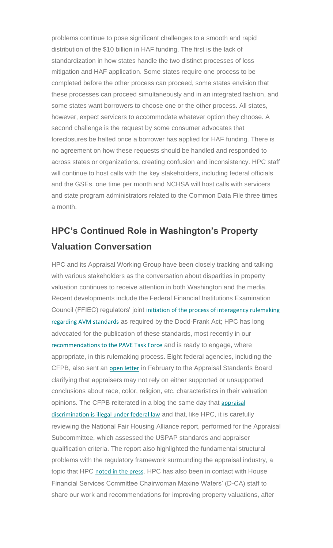problems continue to pose significant challenges to a smooth and rapid distribution of the \$10 billion in HAF funding. The first is the lack of standardization in how states handle the two distinct processes of loss mitigation and HAF application. Some states require one process to be completed before the other process can proceed, some states envision that these processes can proceed simultaneously and in an integrated fashion, and some states want borrowers to choose one or the other process. All states, however, expect servicers to accommodate whatever option they choose. A second challenge is the request by some consumer advocates that foreclosures be halted once a borrower has applied for HAF funding. There is no agreement on how these requests should be handled and responded to across states or organizations, creating confusion and inconsistency. HPC staff will continue to host calls with the key stakeholders, including federal officials and the GSEs, one time per month and NCHSA will host calls with servicers and state program administrators related to the Common Data File three times a month.

## **HPC's Continued Role in Washington's Property Valuation Conversation**

HPC and its Appraisal Working Group have been closely tracking and talking with various stakeholders as the conversation about disparities in property valuation continues to receive attention in both Washington and the media. Recent developments include the Federal Financial Institutions Examination Council (FFIEC) regulators' joint [initiation of the process of interagency rulemaking](https://nam12.safelinks.protection.outlook.com/?url=https%3A%2F%2Fhousingpolicycouncil.us4.list-manage.com%2Ftrack%2Fclick%3Fu%3D5140623077e4523696cc45400%26id%3D2df6c5183a%26e%3Dc1f6e13f3b&data=04%7C01%7CChris.Monaco%40housingpolicycouncil.org%7Cd3c00f5e92d643208e1408d9fc48504b%7Ca05a64bbd6ba4776b9825a9e6644ad76%7C1%7C0%7C637818210564157680%7CUnknown%7CTWFpbGZsb3d8eyJWIjoiMC4wLjAwMDAiLCJQIjoiV2luMzIiLCJBTiI6Ik1haWwiLCJXVCI6Mn0%3D%7C3000&sdata=zLFfENOm5EUWduWH1DC60%2FyqA61n5lDJo89NIFcrlS4%3D&reserved=0)  [regarding AVM standards](https://nam12.safelinks.protection.outlook.com/?url=https%3A%2F%2Fhousingpolicycouncil.us4.list-manage.com%2Ftrack%2Fclick%3Fu%3D5140623077e4523696cc45400%26id%3D2df6c5183a%26e%3Dc1f6e13f3b&data=04%7C01%7CChris.Monaco%40housingpolicycouncil.org%7Cd3c00f5e92d643208e1408d9fc48504b%7Ca05a64bbd6ba4776b9825a9e6644ad76%7C1%7C0%7C637818210564157680%7CUnknown%7CTWFpbGZsb3d8eyJWIjoiMC4wLjAwMDAiLCJQIjoiV2luMzIiLCJBTiI6Ik1haWwiLCJXVCI6Mn0%3D%7C3000&sdata=zLFfENOm5EUWduWH1DC60%2FyqA61n5lDJo89NIFcrlS4%3D&reserved=0) as required by the Dodd-Frank Act; HPC has long advocated for the publication of these standards, most recently in our [recommendations to the PAVE Task Force](https://nam12.safelinks.protection.outlook.com/?url=https%3A%2F%2Fhousingpolicycouncil.us4.list-manage.com%2Ftrack%2Fclick%3Fu%3D5140623077e4523696cc45400%26id%3D509c7f6be3%26e%3Dc1f6e13f3b&data=04%7C01%7CChris.Monaco%40housingpolicycouncil.org%7Cd3c00f5e92d643208e1408d9fc48504b%7Ca05a64bbd6ba4776b9825a9e6644ad76%7C1%7C0%7C637818210564157680%7CUnknown%7CTWFpbGZsb3d8eyJWIjoiMC4wLjAwMDAiLCJQIjoiV2luMzIiLCJBTiI6Ik1haWwiLCJXVCI6Mn0%3D%7C3000&sdata=KgSVdWp00Tk2WGqF1ubYt1qPcJPX%2B%2FUA29DXAgh4XTQ%3D&reserved=0) and is ready to engage, where appropriate, in this rulemaking process. Eight federal agencies, including the CFPB, also sent an [open letter](https://nam12.safelinks.protection.outlook.com/?url=https%3A%2F%2Fhousingpolicycouncil.us4.list-manage.com%2Ftrack%2Fclick%3Fu%3D5140623077e4523696cc45400%26id%3D4f6848f6d6%26e%3Dc1f6e13f3b&data=04%7C01%7CChris.Monaco%40housingpolicycouncil.org%7Cd3c00f5e92d643208e1408d9fc48504b%7Ca05a64bbd6ba4776b9825a9e6644ad76%7C1%7C0%7C637818210564157680%7CUnknown%7CTWFpbGZsb3d8eyJWIjoiMC4wLjAwMDAiLCJQIjoiV2luMzIiLCJBTiI6Ik1haWwiLCJXVCI6Mn0%3D%7C3000&sdata=S3YSuSiub0s%2B3SoZWwAPjZOquyf4c7atNQ5Oh0bJGCA%3D&reserved=0) in February to the Appraisal Standards Board clarifying that appraisers may not rely on either supported or unsupported conclusions about race, color, religion, etc. characteristics in their valuation opinions. The CFPB reiterated in a blog the same day that [appraisal](https://nam12.safelinks.protection.outlook.com/?url=https%3A%2F%2Fhousingpolicycouncil.us4.list-manage.com%2Ftrack%2Fclick%3Fu%3D5140623077e4523696cc45400%26id%3Dee7fa5a3da%26e%3Dc1f6e13f3b&data=04%7C01%7CChris.Monaco%40housingpolicycouncil.org%7Cd3c00f5e92d643208e1408d9fc48504b%7Ca05a64bbd6ba4776b9825a9e6644ad76%7C1%7C0%7C637818210564157680%7CUnknown%7CTWFpbGZsb3d8eyJWIjoiMC4wLjAwMDAiLCJQIjoiV2luMzIiLCJBTiI6Ik1haWwiLCJXVCI6Mn0%3D%7C3000&sdata=qrOEFF35OTjIDm%2BMlTV39dcn4TWqj0bU6OVhcwVaAFI%3D&reserved=0)  [discrimination is illegal under federal law](https://nam12.safelinks.protection.outlook.com/?url=https%3A%2F%2Fhousingpolicycouncil.us4.list-manage.com%2Ftrack%2Fclick%3Fu%3D5140623077e4523696cc45400%26id%3Dee7fa5a3da%26e%3Dc1f6e13f3b&data=04%7C01%7CChris.Monaco%40housingpolicycouncil.org%7Cd3c00f5e92d643208e1408d9fc48504b%7Ca05a64bbd6ba4776b9825a9e6644ad76%7C1%7C0%7C637818210564157680%7CUnknown%7CTWFpbGZsb3d8eyJWIjoiMC4wLjAwMDAiLCJQIjoiV2luMzIiLCJBTiI6Ik1haWwiLCJXVCI6Mn0%3D%7C3000&sdata=qrOEFF35OTjIDm%2BMlTV39dcn4TWqj0bU6OVhcwVaAFI%3D&reserved=0) and that, like HPC, it is carefully reviewing the National Fair Housing Alliance report, performed for the Appraisal Subcommittee, which assessed the USPAP standards and appraiser qualification criteria. The report also highlighted the fundamental structural problems with the regulatory framework surrounding the appraisal industry, a topic that HPC [noted](https://nam12.safelinks.protection.outlook.com/?url=https%3A%2F%2Fhousingpolicycouncil.us4.list-manage.com%2Ftrack%2Fclick%3Fu%3D5140623077e4523696cc45400%26id%3Da138497b93%26e%3Dc1f6e13f3b&data=04%7C01%7CChris.Monaco%40housingpolicycouncil.org%7Cd3c00f5e92d643208e1408d9fc48504b%7Ca05a64bbd6ba4776b9825a9e6644ad76%7C1%7C0%7C637818210564157680%7CUnknown%7CTWFpbGZsb3d8eyJWIjoiMC4wLjAwMDAiLCJQIjoiV2luMzIiLCJBTiI6Ik1haWwiLCJXVCI6Mn0%3D%7C3000&sdata=xZWnRpScT9qmw2fRvWL4Sex%2F019iCwBSxNRmWvFvj54%3D&reserved=0) [in the press](https://nam12.safelinks.protection.outlook.com/?url=https%3A%2F%2Fhousingpolicycouncil.us4.list-manage.com%2Ftrack%2Fclick%3Fu%3D5140623077e4523696cc45400%26id%3D0304fee5b6%26e%3Dc1f6e13f3b&data=04%7C01%7CChris.Monaco%40housingpolicycouncil.org%7Cd3c00f5e92d643208e1408d9fc48504b%7Ca05a64bbd6ba4776b9825a9e6644ad76%7C1%7C0%7C637818210564157680%7CUnknown%7CTWFpbGZsb3d8eyJWIjoiMC4wLjAwMDAiLCJQIjoiV2luMzIiLCJBTiI6Ik1haWwiLCJXVCI6Mn0%3D%7C3000&sdata=7TMMgGwM47y8BWRHSFrqWwpVKXePscl00jYrzAu3l1Q%3D&reserved=0). HPC has also been in contact with House Financial Services Committee Chairwoman Maxine Waters' (D-CA) staff to share our work and recommendations for improving property valuations, after